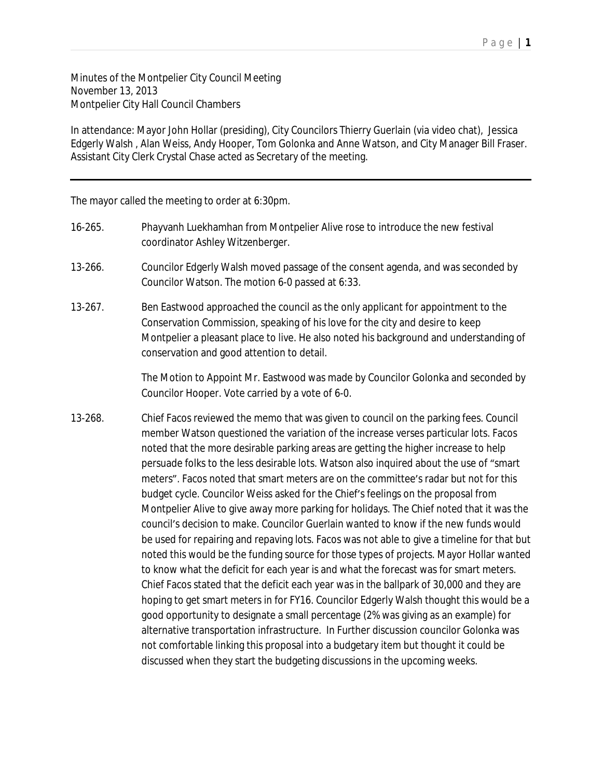Minutes of the Montpelier City Council Meeting November 13, 2013 Montpelier City Hall Council Chambers

In attendance: Mayor John Hollar (presiding), City Councilors Thierry Guerlain (via video chat), Jessica Edgerly Walsh , Alan Weiss, Andy Hooper, Tom Golonka and Anne Watson, and City Manager Bill Fraser. Assistant City Clerk Crystal Chase acted as Secretary of the meeting.

The mayor called the meeting to order at 6:30pm.

- 16-265. Phayvanh Luekhamhan from Montpelier Alive rose to introduce the new festival coordinator Ashley Witzenberger.
- 13-266. Councilor Edgerly Walsh moved passage of the consent agenda, and was seconded by Councilor Watson. The motion 6-0 passed at 6:33.
- 13-267. Ben Eastwood approached the council as the only applicant for appointment to the Conservation Commission, speaking of his love for the city and desire to keep Montpelier a pleasant place to live. He also noted his background and understanding of conservation and good attention to detail.

The Motion to Appoint Mr. Eastwood was made by Councilor Golonka and seconded by Councilor Hooper. Vote carried by a vote of 6-0.

13-268. Chief Facos reviewed the memo that was given to council on the parking fees. Council member Watson questioned the variation of the increase verses particular lots. Facos noted that the more desirable parking areas are getting the higher increase to help persuade folks to the less desirable lots. Watson also inquired about the use of "smart meters". Facos noted that smart meters are on the committee's radar but not for this budget cycle. Councilor Weiss asked for the Chief's feelings on the proposal from Montpelier Alive to give away more parking for holidays. The Chief noted that it was the council's decision to make. Councilor Guerlain wanted to know if the new funds would be used for repairing and repaving lots. Facos was not able to give a timeline for that but noted this would be the funding source for those types of projects. Mayor Hollar wanted to know what the deficit for each year is and what the forecast was for smart meters. Chief Facos stated that the deficit each year was in the ballpark of 30,000 and they are hoping to get smart meters in for FY16. Councilor Edgerly Walsh thought this would be a good opportunity to designate a small percentage (2% was giving as an example) for alternative transportation infrastructure. In Further discussion councilor Golonka was not comfortable linking this proposal into a budgetary item but thought it could be discussed when they start the budgeting discussions in the upcoming weeks.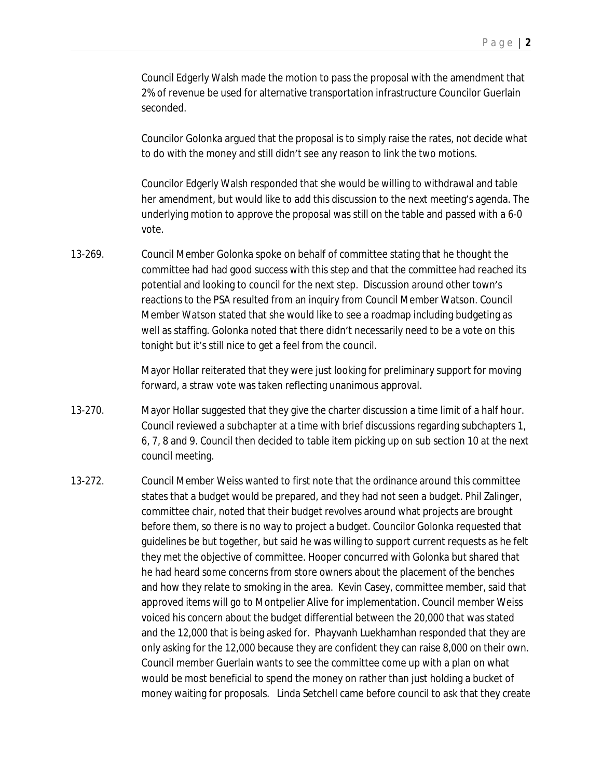Council Edgerly Walsh made the motion to pass the proposal with the amendment that 2% of revenue be used for alternative transportation infrastructure Councilor Guerlain seconded.

Councilor Golonka argued that the proposal is to simply raise the rates, not decide what to do with the money and still didn't see any reason to link the two motions.

Councilor Edgerly Walsh responded that she would be willing to withdrawal and table her amendment, but would like to add this discussion to the next meeting's agenda. The underlying motion to approve the proposal was still on the table and passed with a 6-0 vote.

13-269. Council Member Golonka spoke on behalf of committee stating that he thought the committee had had good success with this step and that the committee had reached its potential and looking to council for the next step. Discussion around other town's reactions to the PSA resulted from an inquiry from Council Member Watson. Council Member Watson stated that she would like to see a roadmap including budgeting as well as staffing. Golonka noted that there didn't necessarily need to be a vote on this tonight but it's still nice to get a feel from the council.

> Mayor Hollar reiterated that they were just looking for preliminary support for moving forward, a straw vote was taken reflecting unanimous approval.

- 13-270. Mayor Hollar suggested that they give the charter discussion a time limit of a half hour. Council reviewed a subchapter at a time with brief discussions regarding subchapters 1, 6, 7, 8 and 9. Council then decided to table item picking up on sub section 10 at the next council meeting.
- 13-272. Council Member Weiss wanted to first note that the ordinance around this committee states that a budget would be prepared, and they had not seen a budget. Phil Zalinger, committee chair, noted that their budget revolves around what projects are brought before them, so there is no way to project a budget. Councilor Golonka requested that guidelines be but together, but said he was willing to support current requests as he felt they met the objective of committee. Hooper concurred with Golonka but shared that he had heard some concerns from store owners about the placement of the benches and how they relate to smoking in the area. Kevin Casey, committee member, said that approved items will go to Montpelier Alive for implementation. Council member Weiss voiced his concern about the budget differential between the 20,000 that was stated and the 12,000 that is being asked for. Phayvanh Luekhamhan responded that they are only asking for the 12,000 because they are confident they can raise 8,000 on their own. Council member Guerlain wants to see the committee come up with a plan on what would be most beneficial to spend the money on rather than just holding a bucket of money waiting for proposals. Linda Setchell came before council to ask that they create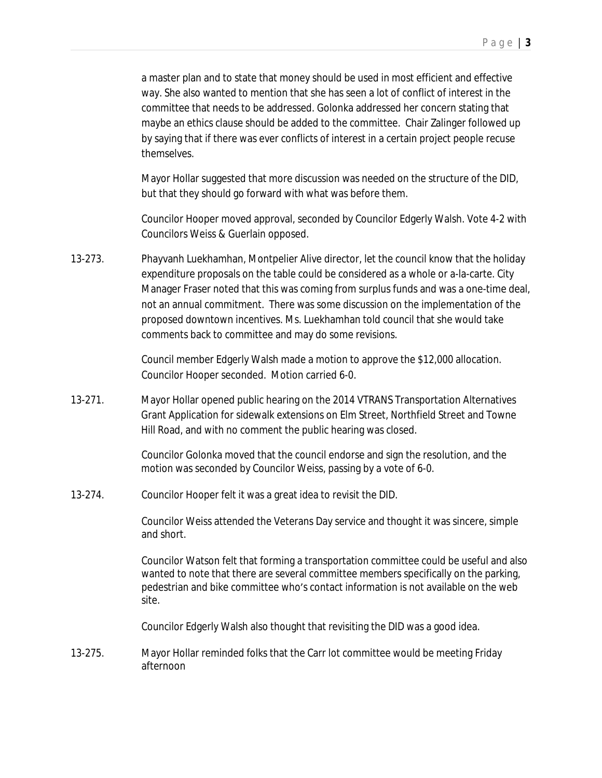a master plan and to state that money should be used in most efficient and effective way. She also wanted to mention that she has seen a lot of conflict of interest in the committee that needs to be addressed. Golonka addressed her concern stating that maybe an ethics clause should be added to the committee. Chair Zalinger followed up by saying that if there was ever conflicts of interest in a certain project people recuse themselves.

Mayor Hollar suggested that more discussion was needed on the structure of the DID, but that they should go forward with what was before them.

Councilor Hooper moved approval, seconded by Councilor Edgerly Walsh. Vote 4-2 with Councilors Weiss & Guerlain opposed.

13-273. Phayvanh Luekhamhan, Montpelier Alive director, let the council know that the holiday expenditure proposals on the table could be considered as a whole or a-la-carte. City Manager Fraser noted that this was coming from surplus funds and was a one-time deal, not an annual commitment. There was some discussion on the implementation of the proposed downtown incentives. Ms. Luekhamhan told council that she would take comments back to committee and may do some revisions.

> Council member Edgerly Walsh made a motion to approve the \$12,000 allocation. Councilor Hooper seconded. Motion carried 6-0.

13-271. Mayor Hollar opened public hearing on the 2014 VTRANS Transportation Alternatives Grant Application for sidewalk extensions on Elm Street, Northfield Street and Towne Hill Road, and with no comment the public hearing was closed.

> Councilor Golonka moved that the council endorse and sign the resolution, and the motion was seconded by Councilor Weiss, passing by a vote of 6-0.

13-274. Councilor Hooper felt it was a great idea to revisit the DID.

Councilor Weiss attended the Veterans Day service and thought it was sincere, simple and short.

Councilor Watson felt that forming a transportation committee could be useful and also wanted to note that there are several committee members specifically on the parking, pedestrian and bike committee who's contact information is not available on the web site.

Councilor Edgerly Walsh also thought that revisiting the DID was a good idea.

13-275. Mayor Hollar reminded folks that the Carr lot committee would be meeting Friday afternoon